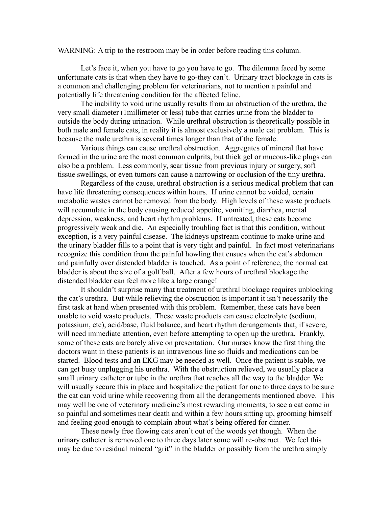WARNING: A trip to the restroom may be in order before reading this column.

Let's face it, when you have to go you have to go. The dilemma faced by some unfortunate cats is that when they have to go-they can't. Urinary tract blockage in cats is a common and challenging problem for veterinarians, not to mention a painful and potentially life threatening condition for the affected feline.

The inability to void urine usually results from an obstruction of the urethra, the very small diameter (1millimeter or less) tube that carries urine from the bladder to outside the body during urination. While urethral obstruction is theoretically possible in both male and female cats, in reality it is almost exclusively a male cat problem. This is because the male urethra is several times longer than that of the female.

Various things can cause urethral obstruction. Aggregates of mineral that have formed in the urine are the most common culprits, but thick gel or mucous-like plugs can also be a problem. Less commonly, scar tissue from previous injury or surgery, soft tissue swellings, or even tumors can cause a narrowing or occlusion of the tiny urethra.

Regardless of the cause, urethral obstruction is a serious medical problem that can have life threatening consequences within hours. If urine cannot be voided, certain metabolic wastes cannot be removed from the body. High levels of these waste products will accumulate in the body causing reduced appetite, vomiting, diarrhea, mental depression, weakness, and heart rhythm problems. If untreated, these cats become progressively weak and die. An especially troubling fact is that this condition, without exception, is a very painful disease. The kidneys upstream continue to make urine and the urinary bladder fills to a point that is very tight and painful. In fact most veterinarians recognize this condition from the painful howling that ensues when the cat's abdomen and painfully over distended bladder is touched. As a point of reference, the normal cat bladder is about the size of a golf ball. After a few hours of urethral blockage the distended bladder can feel more like a large orange!

It shouldn't surprise many that treatment of urethral blockage requires unblocking the cat's urethra. But while relieving the obstruction is important it isn't necessarily the first task at hand when presented with this problem. Remember, these cats have been unable to void waste products. These waste products can cause electrolyte (sodium, potassium, etc), acid/base, fluid balance, and heart rhythm derangements that, if severe, will need immediate attention, even before attempting to open up the urethra. Frankly, some of these cats are barely alive on presentation. Our nurses know the first thing the doctors want in these patients is an intravenous line so fluids and medications can be started. Blood tests and an EKG may be needed as well. Once the patient is stable, we can get busy unplugging his urethra. With the obstruction relieved, we usually place a small urinary catheter or tube in the urethra that reaches all the way to the bladder. We will usually secure this in place and hospitalize the patient for one to three days to be sure the cat can void urine while recovering from all the derangements mentioned above. This may well be one of veterinary medicine's most rewarding moments; to see a cat come in so painful and sometimes near death and within a few hours sitting up, grooming himself and feeling good enough to complain about what's being offered for dinner.

These newly free flowing cats aren't out of the woods yet though. When the urinary catheter is removed one to three days later some will re-obstruct. We feel this may be due to residual mineral "grit" in the bladder or possibly from the urethra simply